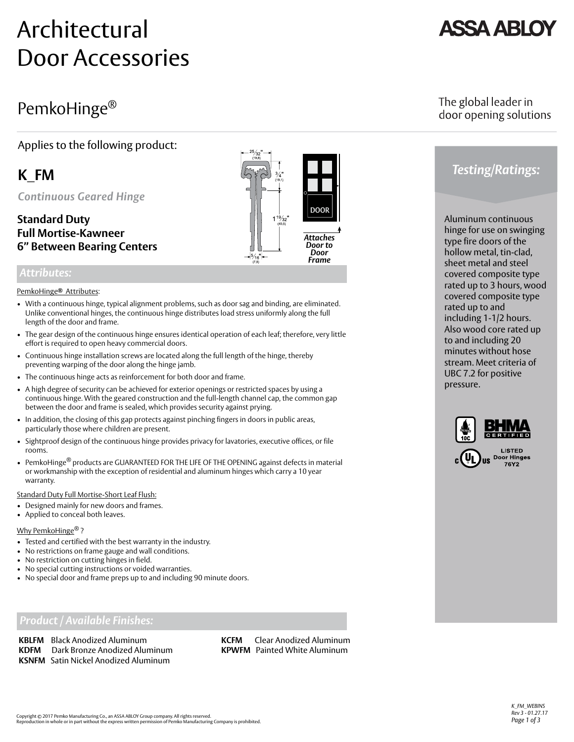# Architectural Door Accessories

## PemkoHinge®

### Applies to the following product:

## **K\_FM**

*Continuous Geared Hinge*

### **Standard Duty Full Mortise-Kawneer 6" Between Bearing Centers**

### *Attributes:*

#### PemkoHinge Attributes: *®*

- With a continuous hinge, typical alignment problems, such as door sag and binding, are eliminated. Unlike conventional hinges, the continuous hinge distributes load stress uniformly along the full length of the door and frame.
- The gear design of the continuous hinge ensures identical operation of each leaf; therefore, very little effort is required to open heavy commercial doors.
- Continuous hinge installation screws are located along the full length of the hinge, thereby preventing warping of the door along the hinge jamb.
- The continuous hinge acts as reinforcement for both door and frame.
- A high degree of security can be achieved for exterior openings or restricted spaces by using a continuous hinge. With the geared construction and the full-length channel cap, the common gap between the door and frame is sealed, which provides security against prying.
- In addition, the closing of this gap protects against pinching fingers in doors in public areas, particularly those where children are present.
- Sightproof design of the continuous hinge provides privacy for lavatories, executive offices, or file rooms.
- PemkoHinge<sup>®</sup> products are GUARANTEED FOR THE LIFE OF THE OPENING against defects in material or workmanship with the exception of residential and aluminum hinges which carry a 10 year warranty.

#### Standard Duty Full Mortise-Short Leaf Flush:

- Designed mainly for new doors and frames.
- Applied to conceal both leaves.

### Why PemkoHinge® ?

- Tested and certified with the best warranty in the industry.
- No restrictions on frame gauge and wall conditions.
- No restriction on cutting hinges in field.
- No special cutting instructions or voided warranties.
- No special door and frame preps up to and including 90 minute doors.

### *Product / Available Finishes:*

**KBLFM** Black Anodized Aluminum **KCFM** Clear Anodized Aluminum **KDFM** Dark Bronze Anodized Aluminum **KPWFM** Painted White Aluminum **KSNFM** Satin Nickel Anodized Aluminum

## *Testing/Ratings:*

Aluminum continuous hinge for use on swinging type fire doors of the hollow metal, tin-clad, sheet metal and steel covered composite type rated up to 3 hours, wood covered composite type rated up to and including 1-1/2 hours. Also wood core rated up to and including 20 minutes without hose stream. Meet criteria of UBC 7.2 for positive pressure.



76Y2



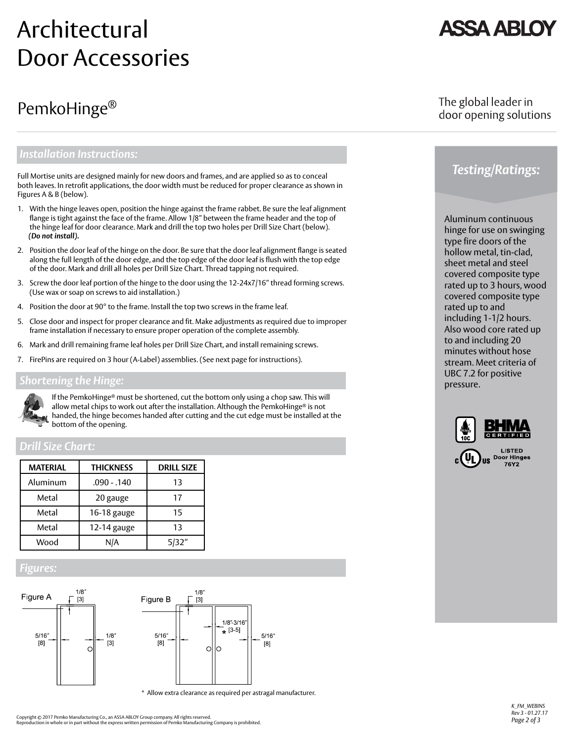# Architectural Door Accessories

## PemkoHinge®

**ASSA ABL** 

### The global leader in door opening solutions

### *Installation Instructions:*

Full Mortise units are designed mainly for new doors and frames, and are applied so as to conceal both leaves. In retrofit applications, the door width must be reduced for proper clearance as shown in Figures A & B (below).

- 1. With the hinge leaves open, position the hinge against the frame rabbet. Be sure the leaf alignment flange is tight against the face of the frame. Allow 1/8" between the frame header and the top of the hinge leaf for door clearance. Mark and drill the top two holes per Drill Size Chart (below).  *(Do not install).*
- 2. Position the door leaf of the hinge on the door. Be sure that the door leaf alignment flange is seated along the full length of the door edge, and the top edge of the door leaf is flush with the top edge of the door. Mark and drill all holes per Drill Size Chart. Thread tapping not required.
- 3. Screw the door leaf portion of the hinge to the door using the 12-24x7/16" thread forming screws. (Use wax or soap on screws to aid installation.)
- 4. Position the door at 90° to the frame. Install the top two screws in the frame leaf.
- 5. Close door and inspect for proper clearance and fit. Make adjustments as required due to improper frame installation if necessary to ensure proper operation of the complete assembly.
- 6. Mark and drill remaining frame leaf holes per Drill Size Chart, and install remaining screws.
- 7. FirePins are required on 3 hour (A-Label) assemblies. (See next page for instructions).

### *Shortening the Hinge:*



If the PemkoHinge® must be shortened, cut the bottom only using a chop saw. This will allow metal chips to work out after the installation. Although the PemkoHinge® is not handed, the hinge becomes handed after cutting and the cut edge must be installed at the bottom of the opening.

### *Drill Size Chart:*

| <b>MATERIAL</b> | <b>THICKNESS</b> | <b>DRILL SIZE</b> |
|-----------------|------------------|-------------------|
| Aluminum        | .090 - .140      | 13                |
| Metal           | 20 gauge         | 17                |
| Metal           | 16-18 gauge      | 15                |
| Metal           | 12-14 gauge      | 13                |
| Wood            | N/A              | 5/32"             |

### *Figures:*



\* Allow extra clearance as required per astragal manufacturer.



*Testing/Ratings:*

type fire doors of the hollow metal, tin-clad, sheet metal and steel covered composite type rated up to 3 hours, wood covered composite type rated up to and including 1-1/2 hours. Also wood core rated up to and including 20 minutes without hose stream. Meet criteria of UBC 7.2 for positive pressure.